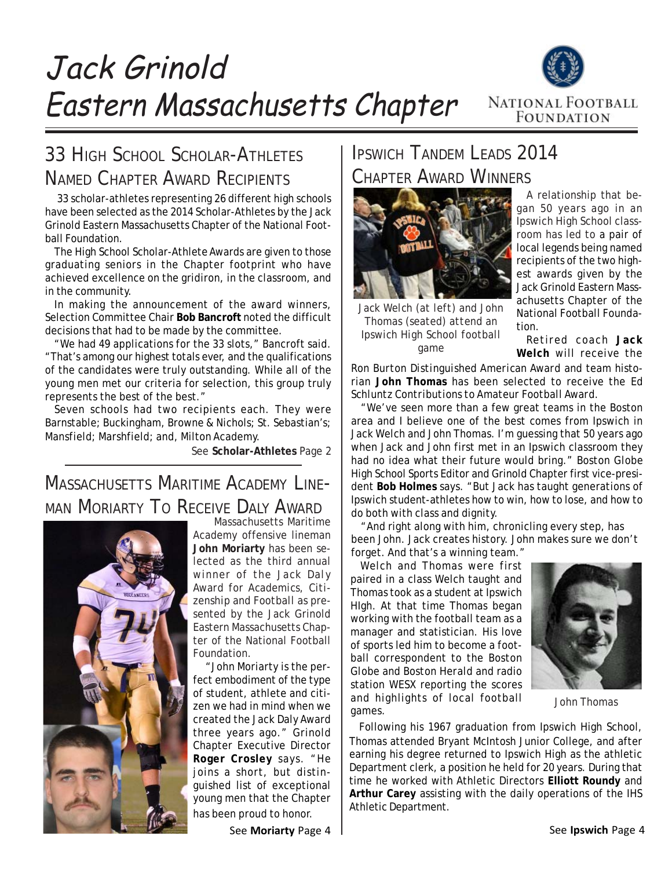Jack Grinold Eastern Massachusetts Chapter



### 33 HIGH SCHOOL SCHOLAR-ATHLETES NAMED CHAPTER AWARD RECIPIENTS

 33 scholar-athletes representing 26 different high schools have been selected as the 2014 Scholar-Athletes by the Jack Grinold Eastern Massachusetts Chapter of the National Football Foundation.

The High School Scholar-Athlete Awards are given to those graduating seniors in the Chapter footprint who have achieved excellence on the gridiron, in the classroom, and in the community.

In making the announcement of the award winners, Selection Committee Chair **Bob Bancroft** noted the difficult decisions that had to be made by the committee.

"We had 49 applications for the 33 slots," Bancroft said. "That's among our highest totals ever, and the qualifications of the candidates were truly outstanding. While all of the young men met our criteria for selection, this group truly represents the best of the best."

Seven schools had two recipients each. They were Barnstable; Buckingham, Browne & Nichols; St. Sebastian's; Mansfield; Marshfield; and, Milton Academy.

See **Scholar-Athletes** Page 2

### MASSACHUSETTS MARITIME ACADEMY LINE-MAN MORIARTY TO RECEIVE DALY AWARD



 Massachusetts Maritime Academy offensive lineman **John Moriarty** has been selected as the third annual winner of the *Jack Daly Award for Academics, Citizenship and Football* as presented by the Jack Grinold Eastern Massachusetts Chapter of the National Football Foundation.

 "John Moriarty is the perfect embodiment of the type of student, athlete and citizen we had in mind when we created the Jack Daly Award three years ago." Grinold Chapter Executive Director **Roger Crosley** says. "He joins a short, but distinguished list of exceptional young men that the Chapter has been proud to honor.

See **Moriarty** Page 4

## IPSWICH TANDEM LEADS 2014 CHAPTER AWARD WINNERS



*Jack Welch (at left) and John Thomas (seated) attend an Ipswich High School football game*

A relationship that began 50 years ago in an Ipswich High School classroom has led to a pair of local legends being named recipients of the two highest awards given by the Jack Grinold Eastern Massachusetts Chapter of the National Football Foundation.

Retired coach **Jack Welch** will receive the

*Ron Burton Distinguished American Award* and team historian **John Thomas** has been selected to receive the *Ed Schluntz Contributions to Amateur Football Award*.

"We've seen more than a few great teams in the Boston area and I believe one of the best comes from Ipswich in Jack Welch and John Thomas. I'm guessing that 50 years ago when Jack and John first met in an Ipswich classroom they had no idea what their future would bring." *Boston Globe* High School Sports Editor and Grinold Chapter first vice-president **Bob Holmes** says. "But Jack has taught generations of Ipswich student-athletes how to win, how to lose, and how to do both with class and dignity.

"And right along with him, chronicling every step, has been John. Jack creates history. John makes sure we don't forget. And that's a winning team."

Welch and Thomas were first paired in a class Welch taught and Thomas took as a student at Ipswich HIgh. At that time Thomas began working with the football team as a manager and statistician. His love of sports led him to become a football correspondent to the *Boston Globe* and *Boston Herald* and radio station WESX reporting the scores and highlights of local football games.



*John Thomas*

Following his 1967 graduation from Ipswich High School, Thomas attended Bryant McIntosh Junior College, and after earning his degree returned to Ipswich High as the athletic Department clerk, a position he held for 20 years. During that time he worked with Athletic Directors **Elliott Roundy** and **Arthur Carey** assisting with the daily operations of the IHS Athletic Department.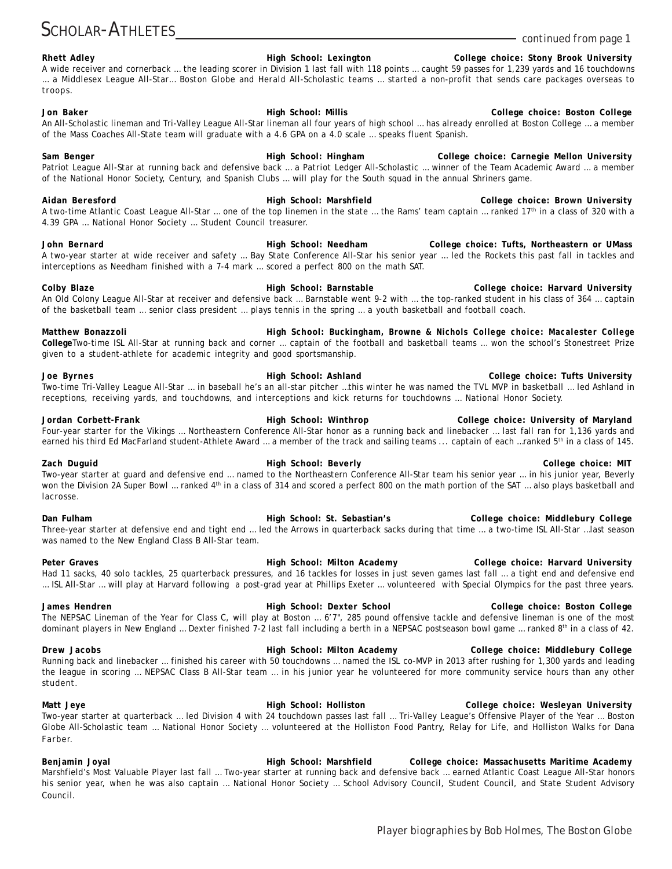### **Rhett Adley High School: Lexington College choice: Stony Brook University** A wide receiver and cornerback … the leading scorer in Division 1 last fall with 118 points … caught 59 passes for 1,239 yards and 16 touchdowns … a Middlesex League All-Star… *Boston Globe* and *Herald* All-Scholastic teams … started a non-profit that sends care packages overseas to troops. **Jon Baker High School: Millis College choice: Boston College** An All-Scholastic lineman and Tri-Valley League All-Star lineman all four years of high school … has already enrolled at Boston College … a member of the Mass Coaches All-State team will graduate with a 4.6 GPA on a 4.0 scale … speaks fluent Spanish. Sam Benger **Michael School: High School: Hingham College choice: Carnegie Mellon University** Patriot League All-Star at running back and defensive back … a *Patriot Ledger* All-Scholastic … winner of the Team Academic Award … a member of the National Honor Society, Century, and Spanish Clubs … will play for the South squad in the annual Shriners game. **Aidan Beresford High School: Marshfield College choice: Brown University** A two-time Atlantic Coast League All-Star ... one of the top linemen in the state ... the Rams' team captain ... ranked 17<sup>th</sup> in a class of 320 with a 4.39 GPA … National Honor Society … Student Council treasurer. **John Bernard High School: Needham College choice: Tufts, Northeastern or UMass** A two-year starter at wide receiver and safety … Bay State Conference All-Star his senior year … led the Rockets this past fall in tackles and interceptions as Needham finished with a 7-4 mark … scored a perfect 800 on the math SAT. Colby Blaze **Migh School: Barnstable College choice: Harvard University** College choice: Harvard University An Old Colony League All-Star at receiver and defensive back … Barnstable went 9-2 with … the top-ranked student in his class of 364 … captain of the basketball team … senior class president … plays tennis in the spring … a youth basketball and football coach. **Matthew Bonazzoli High School: Buckingham, Browne & Nichols College choice: Macalester College College**Two-time ISL All-Star at running back and corner … captain of the football and basketball teams … won the school's Stonestreet Prize given to a student-athlete for academic integrity and good sportsmanship. **Joe Byrnes High School: Ashland College choice: Tufts University** Two-time Tri-Valley League All-Star … in baseball he's an all-star pitcher …this winter he was named the TVL MVP in basketball … led Ashland in receptions, receiving yards, and touchdowns, and interceptions and kick returns for touchdowns … National Honor Society. **Jordan Corbett-Frank High School: Winthrop College choice: University of Maryland** Four-year starter for the Vikings … Northeastern Conference All-Star honor as a running back and linebacker … last fall ran for 1,136 yards and earned his third Ed MacFarland student-Athlete Award ... a member of the track and sailing teams ... captain of each ...ranked 5<sup>th</sup> in a class of 145. **Zach Duguid High School: Beverly College choice: MIT** Two-year starter at guard and defensive end … named to the Northeastern Conference All-Star team his senior year … in his junior year, Beverly won the Division 2A Super Bowl ... ranked 4<sup>th</sup> in a class of 314 and scored a perfect 800 on the math portion of the SAT ... also plays basketball and lacrosse. **Dan Fulham High School: St. Sebastian's College choice: Middlebury College** Three-year starter at defensive end and tight end … led the Arrows in quarterback sacks during that time … a two-time ISL All-Star …last season was named to the New England Class B All-Star team. Peter Graves **Milton Academy College choice: Harvard University High School: Milton Academy College choice: Harvard University** Had 11 sacks, 40 solo tackles, 25 quarterback pressures, and 16 tackles for losses in just seven games last fall … a tight end and defensive end … ISL All-Star … will play at Harvard following a post-grad year at Phillips Exeter … volunteered with Special Olympics for the past three years. **James Hendren High School: Dexter School College choice: Boston College** The NEPSAC Lineman of the Year for Class C, will play at Boston … 6'7", 285 pound offensive tackle and defensive lineman is one of the most dominant players in New England ... Dexter finished 7-2 last fall including a berth in a NEPSAC postseason bowl game ... ranked 8<sup>th</sup> in a class of 42.

**Drew Jacobs High School: Milton Academy College choice: Middlebury College** Running back and linebacker … finished his career with 50 touchdowns … named the ISL co-MVP in 2013 after rushing for 1,300 yards and leading the league in scoring … NEPSAC Class B All-Star team … in his junior year he volunteered for more community service hours than any other student.

**Matt Jeye High School: Holliston College choice: Wesleyan University** Two-year starter at quarterback … led Division 4 with 24 touchdown passes last fall … Tri-Valley League's Offensive Player of the Year … *Boston Globe* All-Scholastic team … National Honor Society … volunteered at the Holliston Food Pantry, Relay for Life, and Holliston Walks for Dana Farber.

**Benjamin Joyal High School: Marshfield College choice: Massachusetts Maritime Academy** Marshfield's Most Valuable Player last fall … Two-year starter at running back and defensive back … earned Atlantic Coast League All-Star honors his senior year, when he was also captain … National Honor Society … School Advisory Council, Student Council, and State Student Advisory Council.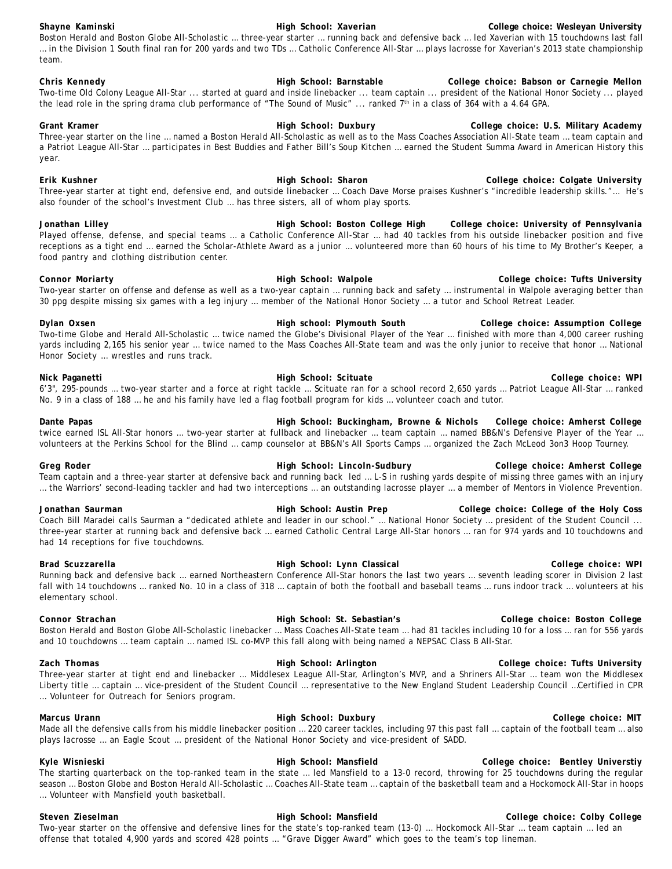#### **Shayne Kaminski Microsoft College College College College College choice: Wesleyan University High School: Xaverian College choice: Wesleyan University** *Boston Herald* and *Boston Globe* All-Scholastic … three-year starter … running back and defensive back … led Xaverian with 15 touchdowns last fall … in the Division 1 South final ran for 200 yards and two TDs … Catholic Conference All-Star … plays lacrosse for Xaverian's 2013 state championship team.

#### **Chris Kennedy High School: Barnstable College choice: Babson or Carnegie Mellon** Two-time Old Colony League All-Star ... started at guard and inside linebacker ... team captain ... president of the National Honor Society ... played the lead role in the spring drama club performance of "The Sound of Music" ... ranked 7th in a class of 364 with a 4.64 GPA.

**Grant Kramer High School: Duxbury College choice: U.S. Military Academy** Three-year starter on the line … named a *Boston Herald* All-Scholastic as well as to the Mass Coaches Association All-State team … team captain and a Patriot League All-Star … participates in Best Buddies and Father Bill's Soup Kitchen … earned the Student Summa Award in American History this year.

**Erik Kushner High School: Sharon High School: Sharon College choice: Colgate University** Three-year starter at tight end, defensive end, and outside linebacker … Coach Dave Morse praises Kushner's "incredible leadership skills."… He's also founder of the school's Investment Club … has three sisters, all of whom play sports.

Jonathan Lilley **Michael School: Boston College High College choice: University of Pennsylvania** Played offense, defense, and special teams … a Catholic Conference All-Star … had 40 tackles from his outside linebacker position and five receptions as a tight end … earned the Scholar-Athlete Award as a junior … volunteered more than 60 hours of his time to My Brother's Keeper, a food pantry and clothing distribution center.

**Connor Moriarty High School: Walpole College choice: Tufts University** Two-year starter on offense and defense as well as a two-year captain … running back and safety … instrumental in Walpole averaging better than 30 ppg despite missing six games with a leg injury … member of the National Honor Society … a tutor and School Retreat Leader.

**Dylan Oxsen High school: Plymouth South College choice: Assumption College** Two-time *Globe* and *Herald* All-Scholastic … twice named the *Globe*'s Divisional Player of the Year … finished with more than 4,000 career rushing yards including 2,165 his senior year … twice named to the Mass Coaches All-State team and was the only junior to receive that honor … National Honor Society … wrestles and runs track.

**Nick Paganetti High School: Scituate College choice: WPI** 6'3", 295-pounds … two-year starter and a force at right tackle … Scituate ran for a school record 2,650 yards … Patriot League All-Star … ranked No. 9 in a class of 188 … he and his family have led a flag football program for kids … volunteer coach and tutor.

**Dante Papas High School: Buckingham, Browne & Nichols College choice: Amherst College** twice earned ISL All-Star honors … two-year starter at fullback and linebacker … team captain … named BB&N's Defensive Player of the Year … volunteers at the Perkins School for the Blind … camp counselor at BB&N's All Sports Camps … organized the Zach McLeod 3on3 Hoop Tourney.

**Greg Roder High School: Lincoln-Sudbury College choice: Amherst College** Team captain and a three-year starter at defensive back and running back led … L-S in rushing yards despite of missing three games with an injury … the Warriors' second-leading tackler and had two interceptions … an outstanding lacrosse player … a member of Mentors in Violence Prevention.

**Jonathan Saurman High School: Austin Prep College choice: College of the Holy Coss** Coach Bill Maradei calls Saurman a "dedicated athlete and leader in our school." … National Honor Society … president of the Student Council ... three-year starter at running back and defensive back … earned Catholic Central Large All-Star honors … ran for 974 yards and 10 touchdowns and had 14 receptions for five touchdowns.

**Brad Scuzzarella High School: Lynn Classical College choice: WPI** Running back and defensive back … earned Northeastern Conference All-Star honors the last two years … seventh leading scorer in Division 2 last fall with 14 touchdowns … ranked No. 10 in a class of 318 … captain of both the football and baseball teams … runs indoor track … volunteers at his elementary school.

**Connor Strachan High School: St. Sebastian's College choice: Boston College** *Boston Herald* and *Boston Globe* All-Scholastic linebacker … Mass Coaches All-State team … had 81 tackles including 10 for a loss … ran for 556 yards and 10 touchdowns … team captain … named ISL co-MVP this fall along with being named a NEPSAC Class B All-Star.

**Zach Thomas High School: Arlington College choice: Tufts University** Three-year starter at tight end and linebacker … Middlesex League All-Star, Arlington's MVP, and a Shriners All-Star … team won the Middlesex Liberty title … captain … vice-president of the Student Council … representative to the New England Student Leadership Council …Certified in CPR … Volunteer for Outreach for Seniors program.

#### **Marcus Urann High School: Duxbury High School: Duxbury College choice: MIT** Made all the defensive calls from his middle linebacker position ... 220 career tackles, including 97 this past fall ... captain of the football team ... also plays lacrosse … an Eagle Scout … president of the National Honor Society and vice-president of SADD.

**Kyle Wisnieski High School: Mansfield College choice: Bentley Universtiy** The starting quarterback on the top-ranked team in the state … led Mansfield to a 13-0 record, throwing for 25 touchdowns during the regular season … *Boston Globe* and *Boston Herald* All-Scholastic … Coaches All-State team … captain of the basketball team and a Hockomock All-Star in hoops … Volunteer with Mansfield youth basketball.

#### **Steven Zieselman High School: Mansfield College choice: Colby College** Two-year starter on the offensive and defensive lines for the state's top-ranked team (13-0) … Hockomock All-Star … team captain … led an offense that totaled 4,900 yards and scored 428 points … "Grave Digger Award" which goes to the team's top lineman.